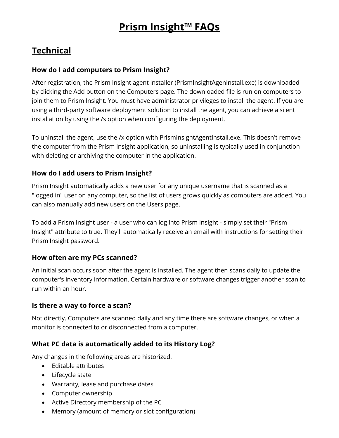# **Prism Insight™ FAQs**

# **Technical**

# **How do I add computers to Prism Insight?**

After registration, the Prism Insight agent installer (PrismInsightAgenInstall.exe) is downloaded by clicking the Add button on the Computers page. The downloaded file is run on computers to join them to Prism Insight. You must have administrator privileges to install the agent. If you are using a third-party software deployment solution to install the agent, you can achieve a silent installation by using the /s option when configuring the deployment.

To uninstall the agent, use the /x option with PrismInsightAgentInstall.exe. This doesn't remove the computer from the Prism Insight application, so uninstalling is typically used in conjunction with deleting or archiving the computer in the application.

# **How do I add users to Prism Insight?**

Prism Insight automatically adds a new user for any unique username that is scanned as a "logged in" user on any computer, so the list of users grows quickly as computers are added. You can also manually add new users on the Users page.

To add a Prism Insight user - a user who can log into Prism Insight - simply set their "Prism Insight" attribute to true. They'll automatically receive an email with instructions for setting their Prism Insight password.

# **How often are my PCs scanned?**

An initial scan occurs soon after the agent is installed. The agent then scans daily to update the computer's inventory information. Certain hardware or software changes trigger another scan to run within an hour.

# **Is there a way to force a scan?**

Not directly. Computers are scanned daily and any time there are software changes, or when a monitor is connected to or disconnected from a computer.

# **What PC data is automatically added to its History Log?**

Any changes in the following areas are historized:

- Editable attributes
- Lifecycle state
- Warranty, lease and purchase dates
- Computer ownership
- Active Directory membership of the PC
- Memory (amount of memory or slot configuration)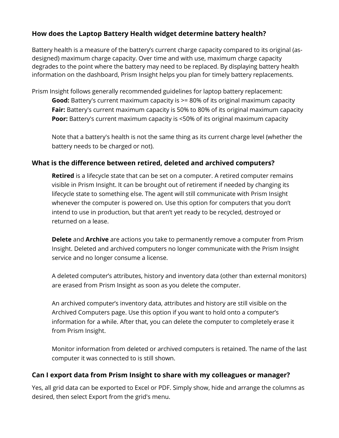# **How does the Laptop Battery Health widget determine battery health?**

Battery health is a measure of the battery's current charge capacity compared to its original (asdesigned) maximum charge capacity. Over time and with use, maximum charge capacity degrades to the point where the battery may need to be replaced. By displaying battery health information on the dashboard, Prism Insight helps you plan for timely battery replacements.

Prism Insight follows generally recommended guidelines for laptop battery replacement: **Good:** Battery's current maximum capacity is >= 80% of its original maximum capacity **Fair:** Battery's current maximum capacity is 50% to 80% of its original maximum capacity **Poor:** Battery's current maximum capacity is <50% of its original maximum capacity

Note that a battery's health is not the same thing as its current charge level (whether the battery needs to be charged or not).

#### **What is the difference between retired, deleted and archived computers?**

**Retired** is a lifecycle state that can be set on a computer. A retired computer remains visible in Prism Insight. It can be brought out of retirement if needed by changing its lifecycle state to something else. The agent will still communicate with Prism Insight whenever the computer is powered on. Use this option for computers that you don't intend to use in production, but that aren't yet ready to be recycled, destroyed or returned on a lease.

**Delete** and **Archive** are actions you take to permanently remove a computer from Prism Insight. Deleted and archived computers no longer communicate with the Prism Insight service and no longer consume a license.

A deleted computer's attributes, history and inventory data (other than external monitors) are erased from Prism Insight as soon as you delete the computer.

An archived computer's inventory data, attributes and history are still visible on the Archived Computers page. Use this option if you want to hold onto a computer's information for a while. After that, you can delete the computer to completely erase it from Prism Insight.

Monitor information from deleted or archived computers is retained. The name of the last computer it was connected to is still shown.

# **Can I export data from Prism Insight to share with my colleagues or manager?**

Yes, all grid data can be exported to Excel or PDF. Simply show, hide and arrange the columns as desired, then select Export from the grid's menu.